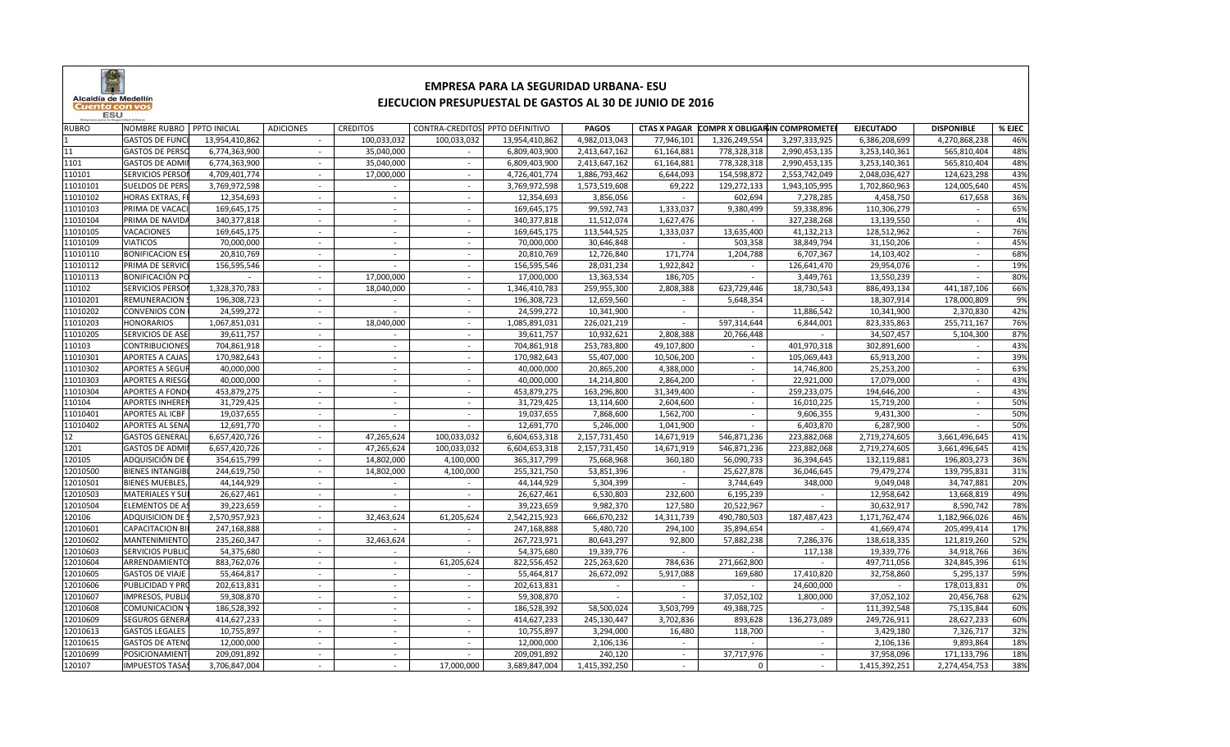

## **EMPRESA PARA LA SEGURIDAD URBANA- ESUEJECUCION PRESUPUESTAL DE GASTOS AL 30 DE JUNIO DE 2016**

| <b>RUBRO</b> | NOMBRE RUBRO   PPTO INICIAL |                | <b>ADICIONES</b> | <b>CREDITOS</b>          | CONTRA-CREDITOS          | PPTO DEFINITIVO | PAGOS         | CTAS X PAGAR COMPR X OBLIGARIN COMPROMETER |               |               | <b>EJECUTADO</b> | <b>DISPONIBLE</b> | % EJEC |
|--------------|-----------------------------|----------------|------------------|--------------------------|--------------------------|-----------------|---------------|--------------------------------------------|---------------|---------------|------------------|-------------------|--------|
|              | <b>GASTOS DE FUNC</b>       | 13,954,410,862 | $\sim$           | 100,033,032              | 100,033,032              | 13,954,410,862  | 4,982,013,043 | 77,946,101                                 | 1,326,249,554 | 3,297,333,925 | 6,386,208,699    | 4,270,868,238     | 46%    |
| 11           | <b>GASTOS DE PERSO</b>      | 6,774,363,900  |                  | 35,040,000               |                          | 6,809,403,900   | 2,413,647,162 | 61,164,881                                 | 778,328,318   | 2,990,453,135 | 3,253,140,361    | 565,810,404       | 48%    |
| 1101         | <b>GASTOS DE ADMI</b>       | 6,774,363,900  | $\sim$           | 35,040,000               | $\sim$                   | 6,809,403,900   | 2,413,647,162 | 61,164,881                                 | 778,328,318   | 2,990,453,135 | 3,253,140,361    | 565,810,404       | 48%    |
| 110101       | <b>SERVICIOS PERSO</b>      | 4,709,401,774  |                  | 17,000,000               | $\sim$                   | 4,726,401,774   | 1,886,793,462 | 6,644,093                                  | 154,598,872   | 2,553,742,049 | 2,048,036,427    | 124,623,298       | 43%    |
| 11010101     | <b>SUELDOS DE PERS</b>      | 3,769,972,598  |                  | $\sim$                   | $\sim$                   | 3,769,972,598   | 1,573,519,608 | 69,222                                     | 129,272,133   | 1,943,105,995 | 1,702,860,963    | 124,005,640       | 45%    |
| 11010102     | <b>HORAS EXTRAS, F</b>      | 12,354,693     |                  |                          | $\sim$                   | 12,354,693      | 3,856,056     |                                            | 602,694       | 7,278,285     | 4,458,750        | 617,658           | 36%    |
| 11010103     | PRIMA DE VACAC              | 169,645,175    |                  |                          | $\sim$                   | 169,645,175     | 99,592,743    | 1,333,037                                  | 9,380,499     | 59,338,896    | 110,306,279      |                   | 65%    |
| 11010104     | PRIMA DE NAVID              | 340,377,818    |                  |                          |                          | 340, 377, 818   | 11,512,074    | 1,627,476                                  |               | 327,238,268   | 13,139,550       |                   | 4%     |
| 11010105     | VACACIONES                  | 169,645,175    |                  |                          |                          | 169,645,175     | 113,544,525   | 1,333,037                                  | 13,635,400    | 41,132,213    | 128,512,962      |                   | 76%    |
| 11010109     | <b>VIATICOS</b>             | 70,000,000     |                  | $\overline{\phantom{a}}$ | $\sim$                   | 70,000,000      | 30,646,848    | $\sim$                                     | 503,358       | 38,849,794    | 31,150,206       |                   | 45%    |
| 11010110     | <b>BONIFICACION ES</b>      | 20,810,769     |                  |                          | $\overline{\phantom{a}}$ | 20,810,769      | 12,726,840    | 171,774                                    | 1,204,788     | 6,707,367     | 14,103,402       |                   | 68%    |
| 11010112     | PRIMA DE SERVIC             | 156,595,546    | $\sim$           | $\sim$                   | $\sim$                   | 156,595,546     | 28,031,234    | 1,922,842                                  | $\sim$        | 126,641,470   | 29,954,076       | $\sim$            | 19%    |
| 11010113     | <b>BONIFICACIÓN PO</b>      |                | $\sim$           | 17,000,000               | $\sim$                   | 17,000,000      | 13,363,534    | 186,705                                    | $\sim$        | 3,449,761     | 13,550,239       |                   | 80%    |
| 110102       | <b>SERVICIOS PERSO</b>      | 1,328,370,783  | $\sim$           | 18,040,000               | $\sim$                   | 1,346,410,783   | 259,955,300   | 2,808,388                                  | 623,729,446   | 18,730,543    | 886,493,134      | 441,187,106       | 66%    |
| 11010201     | REMUNERACION                | 196,308,723    |                  |                          | $\sim$                   | 196,308,723     | 12,659,560    |                                            | 5,648,354     |               | 18,307,914       | 178,000,809       | 9%     |
| 11010202     | <b>CONVENIOS CON</b>        | 24,599,272     | $\sim$           |                          | $\sim$                   | 24,599,272      | 10,341,900    | $\sim$                                     |               | 11,886,542    | 10,341,900       | 2,370,830         | 42%    |
| 11010203     | <b>HONORARIOS</b>           | 1,067,851,031  |                  | 18,040,000               | $\sim$                   | 1,085,891,031   | 226,021,219   | $\sim$                                     | 597,314,644   | 6,844,001     | 823,335,863      | 255,711,167       | 76%    |
| 11010205     | SERVICIOS DE ASE            | 39,611,757     |                  |                          |                          | 39,611,757      | 10,932,621    | 2,808,388                                  | 20,766,448    |               | 34,507,457       | 5,104,300         | 87%    |
| 110103       | <b>CONTRIBUCIONES</b>       | 704,861,918    |                  |                          | $\sim$                   | 704,861,918     | 253,783,800   | 49,107,800                                 | $\sim$        | 401,970,318   | 302,891,600      |                   | 43%    |
| 11010301     | <b>APORTES A CAJAS</b>      | 170,982,643    |                  |                          | $\sim$                   | 170,982,643     | 55,407,000    | 10,506,200                                 |               | 105,069,443   | 65,913,200       |                   | 39%    |
| 11010302     | <b>APORTES A SEGUI</b>      | 40,000,000     | $\sim$           | $\sim$                   | $\sim$                   | 40,000,000      | 20,865,200    | 4,388,000                                  | $\sim$        | 14,746,800    | 25,253,200       | $\sim$            | 63%    |
| 11010303     | <b>APORTES A RIESGO</b>     | 40,000,000     |                  | $\overline{\phantom{a}}$ | $\sim$                   | 40,000,000      | 14,214,800    | 2,864,200                                  | $\sim$        | 22,921,000    | 17,079,000       |                   | 43%    |
| 11010304     | <b>APORTES A FOND</b>       | 453,879,275    | $\sim$           | $\sim$                   | $\sim$                   | 453,879,275     | 163,296,800   | 31,349,400                                 | $\sim$        | 259,233,075   | 194,646,200      | $\sim$            | 43%    |
| 110104       | <b>APORTES INHEREI</b>      | 31,729,425     |                  |                          | $\sim$                   | 31,729,425      | 13,114,600    | 2,604,600                                  |               | 16,010,225    | 15,719,200       |                   | 50%    |
| 11010401     | <b>APORTES AL ICBF</b>      | 19,037,655     |                  |                          | $\sim$                   | 19,037,655      | 7,868,600     | 1,562,700                                  | $\sim$        | 9,606,355     | 9,431,300        |                   | 50%    |
| 11010402     | APORTES AL SENA             | 12,691,770     |                  |                          |                          | 12,691,770      | 5,246,000     | 1,041,900                                  |               | 6,403,870     | 6,287,900        |                   | 50%    |
| 12           | <b>GASTOS GENERA</b>        | 6,657,420,726  |                  | 47,265,624               | 100,033,032              | 6,604,653,318   | 2,157,731,450 | 14,671,919                                 | 546,871,236   | 223,882,068   | 2,719,274,605    | 3,661,496,645     | 41%    |
| 1201         | <b>GASTOS DE ADMI</b>       | 6,657,420,726  |                  | 47,265,624               | 100,033,032              | 6,604,653,318   | 2,157,731,450 | 14,671,919                                 | 546,871,236   | 223,882,068   | 2,719,274,605    | 3,661,496,645     | 41%    |
| 120105       | ADQUISICIÓN DE              | 354,615,799    |                  | 14,802,000               | 4,100,000                | 365,317,799     | 75,668,968    | 360,180                                    | 56,090,733    | 36,394,645    | 132,119,881      | 196,803,273       | 36%    |
| 12010500     | <b>BIENES INTANGIB</b>      | 244,619,750    | $\sim$           | 14,802,000               | 4,100,000                | 255,321,750     | 53,851,396    | $\sim$                                     | 25,627,878    | 36,046,645    | 79,479,274       | 139,795,831       | 31%    |
| 12010501     | <b>BIENES MUEBLES</b>       | 44,144,929     |                  |                          | $\sim$                   | 44,144,929      | 5,304,399     | $\sim$                                     | 3,744,649     | 348,000       | 9,049,048        | 34,747,881        | 20%    |
| 12010503     | <b>MATERIALES Y SU</b>      | 26,627,461     | $\sim$           | $\sim$                   | $\sim$                   | 26,627,461      | 6,530,803     | 232,600                                    | 6,195,239     | $\sim$        | 12,958,642       | 13,668,819        | 49%    |
| 12010504     | ELEMENTOS DE A              | 39,223,659     |                  |                          |                          | 39,223,659      | 9,982,370     | 127,580                                    | 20,522,967    |               | 30,632,917       | 8,590,742         | 78%    |
| 120106       | <b>ADQUISICION DE</b>       | 2,570,957,923  |                  | 32,463,624               | 61,205,624               | 2,542,215,923   | 666,670,232   | 14,311,739                                 | 490,780,503   | 187,487,423   | 1,171,762,474    | 1,182,966,026     | 46%    |
| 12010601     | <b>CAPACITACION B</b>       | 247,168,888    | $\sim$           |                          |                          | 247,168,888     | 5,480,720     | 294,100                                    | 35,894,654    |               | 41,669,474       | 205,499,414       | 17%    |
| 12010602     | MANTENIMIENTC               | 235,260,347    |                  | 32,463,624               |                          | 267,723,971     | 80,643,297    | 92,800                                     | 57,882,238    | 7,286,376     | 138,618,335      | 121,819,260       | 52%    |
| 12010603     | <b>SERVICIOS PUBLIO</b>     | 54,375,680     |                  |                          |                          | 54,375,680      | 19,339,776    |                                            |               | 117,138       | 19,339,776       | 34,918,766        | 36%    |
| 12010604     | ARRENDAMIENTC               | 883,762,076    |                  |                          | 61,205,624               | 822,556,452     | 225,263,620   | 784,636                                    | 271,662,800   |               | 497,711,056      | 324,845,396       | 61%    |
| 12010605     | <b>GASTOS DE VIAJE</b>      | 55,464,817     | $\sim$           | $\sim$                   | $\sim$                   | 55,464,817      | 26,672,092    | 5,917,088                                  | 169,680       | 17,410,820    | 32,758,860       | 5,295,137         | 59%    |
| 12010606     | PUBLICIDAD Y PRO            | 202,613,831    |                  | $\overline{\phantom{a}}$ | $\overline{\phantom{a}}$ | 202,613,831     | $\sim$        | $\sim$                                     | $\sim$        | 24,600,000    | $\sim$           | 178,013,831       | 0%     |
| 12010607     | <b>IMPRESOS, PUBLI</b>      | 59,308,870     | $\sim$           | $\sim$                   | $\sim$                   | 59,308,870      | $\sim$        | $\sim$                                     | 37,052,102    | 1,800,000     | 37,052,102       | 20,456,768        | 62%    |
| 12010608     | <b>COMUNICACION</b>         | 186,528,392    |                  |                          |                          | 186,528,392     | 58,500,024    | 3,503,799                                  | 49,388,725    | $\sim$        | 111,392,548      | 75,135,844        | 60%    |
| 12010609     | <b>SEGUROS GENERA</b>       | 414,627,233    |                  |                          | $\sim$                   | 414,627,233     | 245,130,447   | 3,702,836                                  | 893,628       | 136,273,089   | 249,726,911      | 28,627,233        | 60%    |
| 12010613     | <b>GASTOS LEGALES</b>       | 10,755,897     | $\sim$           |                          | $\sim$                   | 10,755,897      | 3,294,000     | 16,480                                     | 118,700       |               | 3,429,180        | 7,326,717         | 32%    |
| 12010615     | <b>GASTOS DE ATEN</b>       | 12,000,000     |                  |                          |                          | 12,000,000      | 2,106,136     |                                            |               |               | 2,106,136        | 9,893,864         | 18%    |
| 12010699     | POSICIONAMIEN               | 209,091,892    |                  |                          |                          | 209,091,892     | 240,120       | $\sim$                                     | 37,717,976    |               | 37,958,096       | 171,133,796       | 18%    |
| 120107       | <b>IMPUESTOS TASA</b>       | 3,706,847,004  |                  |                          | 17,000,000               | 3,689,847,004   | 1,415,392,250 |                                            | $\Omega$      |               | 1,415,392,251    | 2,274,454,753     | 38%    |